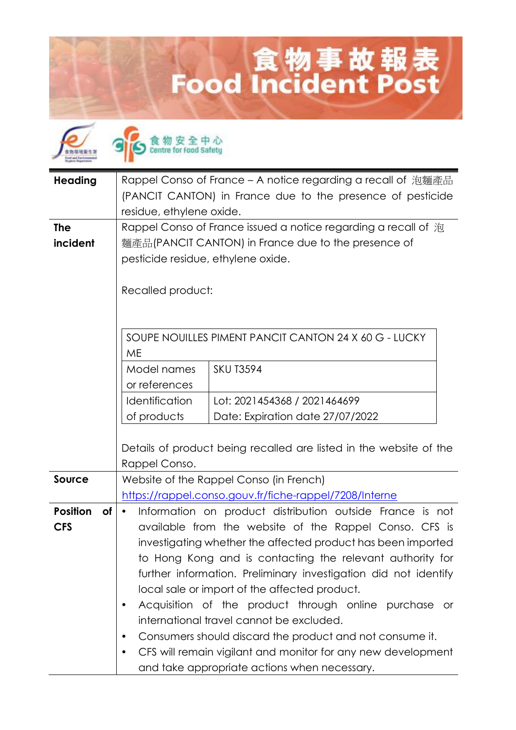## 食物事故報表<br>Food Incident Post

| <b>Heading</b>                      | Rappel Conso of France – A notice regarding a recall of 泡麵產品<br>(PANCIT CANTON) in France due to the presence of pesticide<br>residue, ethylene oxide.                                                                                                                                                                                                                                                                                                                                                                                                                                                                                                     |
|-------------------------------------|------------------------------------------------------------------------------------------------------------------------------------------------------------------------------------------------------------------------------------------------------------------------------------------------------------------------------------------------------------------------------------------------------------------------------------------------------------------------------------------------------------------------------------------------------------------------------------------------------------------------------------------------------------|
| <b>The</b><br>incident              | Rappel Conso of France issued a notice regarding a recall of 泡<br>麵產品(PANCIT CANTON) in France due to the presence of<br>pesticide residue, ethylene oxide.<br>Recalled product:                                                                                                                                                                                                                                                                                                                                                                                                                                                                           |
|                                     | SOUPE NOUILLES PIMENT PANCIT CANTON 24 X 60 G - LUCKY<br>ME<br>Model names<br><b>SKU T3594</b><br>or references<br>Identification<br>Lot: 2021454368 / 2021464699                                                                                                                                                                                                                                                                                                                                                                                                                                                                                          |
|                                     | of products<br>Date: Expiration date 27/07/2022<br>Details of product being recalled are listed in the website of the<br>Rappel Conso.                                                                                                                                                                                                                                                                                                                                                                                                                                                                                                                     |
| <b>Source</b>                       | Website of the Rappel Conso (in French)<br>https://rappel.conso.gouv.fr/fiche-rappel/7208/Interne                                                                                                                                                                                                                                                                                                                                                                                                                                                                                                                                                          |
| <b>Position</b><br>оf<br><b>CFS</b> | Information on product distribution outside France is not<br>available from the website of the Rappel Conso. CFS is<br>investigating whether the affected product has been imported<br>to Hong Kong and is contacting the relevant authority for<br>further information. Preliminary investigation did not identify<br>local sale or import of the affected product.<br>Acquisition of the product through online purchase or<br>international travel cannot be excluded.<br>Consumers should discard the product and not consume it.<br>CFS will remain vigilant and monitor for any new development<br>٠<br>and take appropriate actions when necessary. |